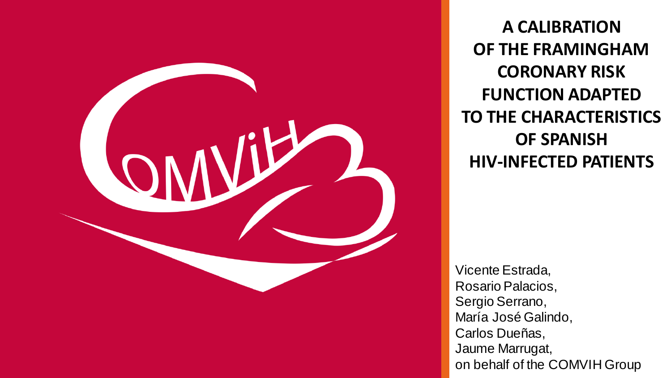

**A CALIBRATION OF THE FRAMINGHAM CORONARY RISK FUNCTION ADAPTED TO THE CHARACTERISTICS OF SPANISH HIV-INFECTED PATIENTS**

Vicente Estrada, Rosario Palacios, Sergio Serrano, María José Galindo, Carlos Dueñas, Jaume Marrugat, on behalf of the COMVIH Group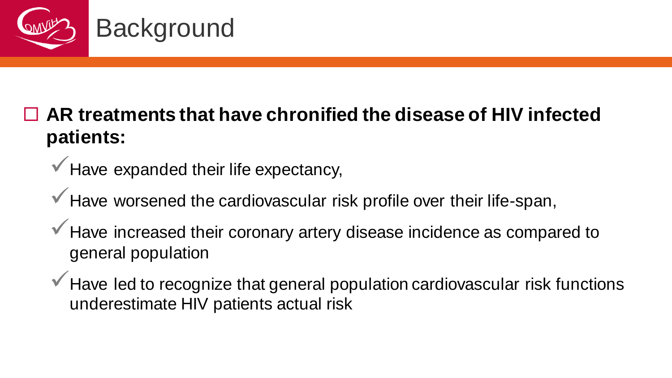

#### **AR treatments that have chronified the disease of HIV infected patients:**

 $\checkmark$  Have expanded their life expectancy,

 $\checkmark$  Have worsened the cardiovascular risk profile over their life-span,

Have increased their coronary artery disease incidence as compared to general population

Have led to recognize that general population cardiovascular risk functions underestimate HIV patients actual risk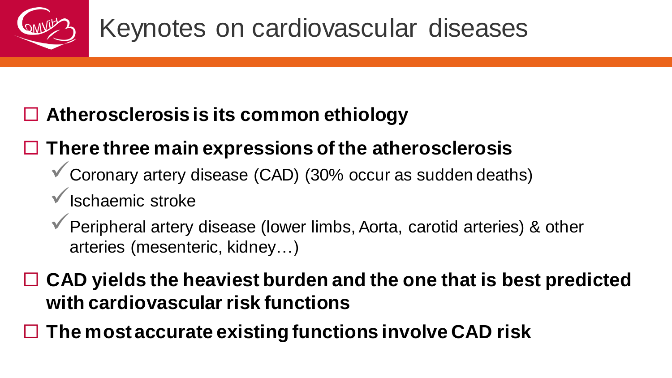

#### **Atherosclerosis is its common ethiology**

### **There three main expressions of the atherosclerosis**

- Coronary artery disease (CAD) (30% occur as sudden deaths)
- Ischaemic stroke
- Peripheral artery disease (lower limbs, Aorta, carotid arteries) & other arteries (mesenteric, kidney…)

 **CAD yields the heaviest burden and the one that is best predicted with cardiovascular risk functions**

**The most accurate existing functions involve CAD risk**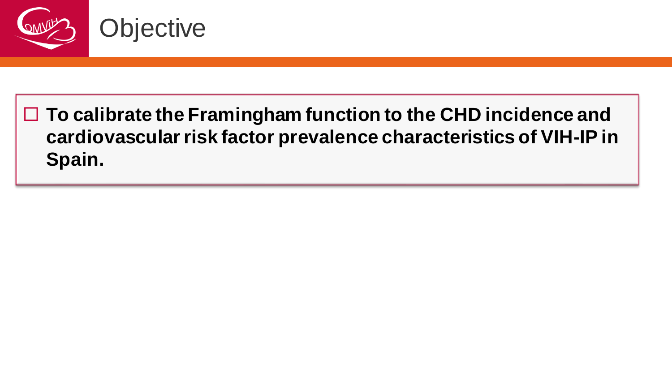

 **To calibrate the Framingham function to the CHD incidence and cardiovascular risk factor prevalence characteristics of VIH-IP in Spain.**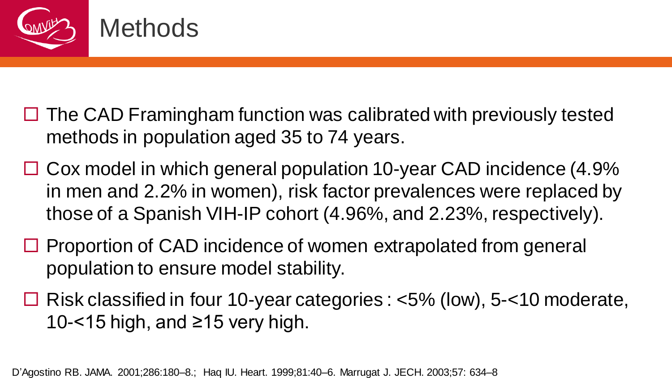

- $\Box$  The CAD Framingham function was calibrated with previously tested methods in population aged 35 to 74 years.
- $\Box$  Cox model in which general population 10-year CAD incidence (4.9% in men and 2.2% in women), risk factor prevalences were replaced by those of a Spanish VIH-IP cohort (4.96%, and 2.23%, respectively).
- $\Box$  Proportion of CAD incidence of women extrapolated from general population to ensure model stability.
- $\Box$  Risk classified in four 10-year categories : <5% (low), 5-<10 moderate, 10-<15 high, and ≥15 very high.

D'Agostino RB. JAMA. 2001;286:180–8.; Haq IU. Heart. 1999;81:40–6. Marrugat J. JECH. 2003;57: 634–8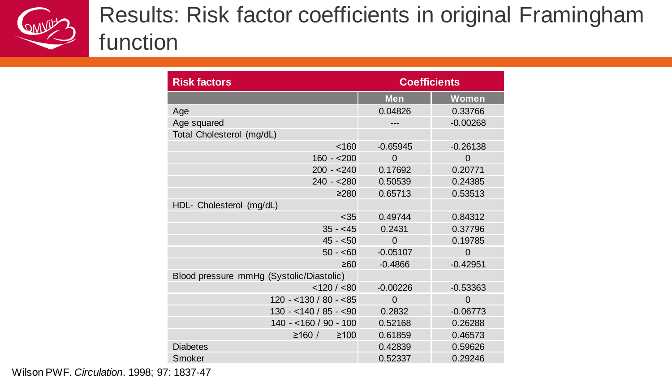

## Results: Risk factor coefficients in original Framingham function

| <b>Risk factors</b>                      | <b>Coefficients</b> |            |  |
|------------------------------------------|---------------------|------------|--|
|                                          | <b>Men</b>          | Women      |  |
| Age                                      | 0.04826             | 0.33766    |  |
| Age squared                              | ---                 | $-0.00268$ |  |
| Total Cholesterol (mg/dL)                |                     |            |  |
| < 160                                    | $-0.65945$          | $-0.26138$ |  |
| $160 - 200$                              | $\Omega$            | 0          |  |
| $200 - 240$                              | 0.17692             | 0.20771    |  |
| $240 - 280$                              | 0.50539             | 0.24385    |  |
| >280                                     | 0.65713             | 0.53513    |  |
| HDL- Cholesterol (mg/dL)                 |                     |            |  |
| < 35                                     | 0.49744             | 0.84312    |  |
| $35 - 45$                                | 0.2431              | 0.37796    |  |
| $45 - 50$                                | $\Omega$            | 0.19785    |  |
| $50 - 60$                                | $-0.05107$          | 0          |  |
| ≥60                                      | $-0.4866$           | $-0.42951$ |  |
| Blood pressure mmHg (Systolic/Diastolic) |                     |            |  |
| < 120 / < 80                             | $-0.00226$          | $-0.53363$ |  |
| $120 - 130 / 80 - 85$                    | $\Omega$            | $\Omega$   |  |
| $130 - 140 / 85 - 150$                   | 0.2832              | $-0.06773$ |  |
| $140 - 160 / 90 - 100$                   | 0.52168             | 0.26288    |  |
| ≥160/<br>$\geq 100$                      | 0.61859             | 0.46573    |  |
| <b>Diabetes</b>                          | 0.42839             | 0.59626    |  |
| Smoker                                   | 0.52337             | 0.29246    |  |

Wilson PWF. *Circulation*. 1998; 97: 1837-47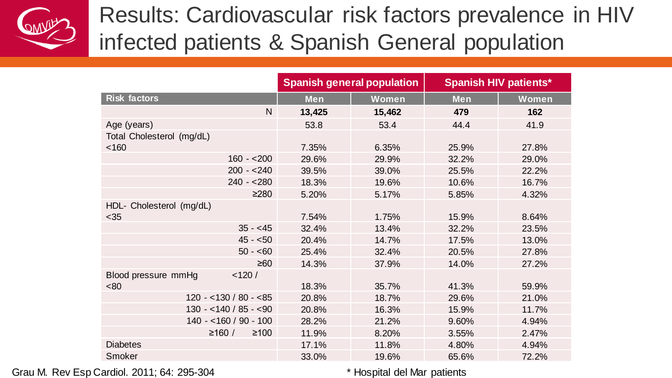Results: Cardiovascular risk factors prevalence in HIV infected patients & Spanish General population

|                               | <b>Spanish general population</b> |        | <b>Spanish HIV patients*</b> |       |
|-------------------------------|-----------------------------------|--------|------------------------------|-------|
| <b>Risk factors</b>           | <b>Men</b>                        | Women  | <b>Men</b>                   | Women |
| N                             | 13,425                            | 15,462 | 479                          | 162   |
| Age (years)                   | 53.8                              | 53.4   | 44.4                         | 41.9  |
| Total Cholesterol (mg/dL)     |                                   |        |                              |       |
| < 160                         | 7.35%                             | 6.35%  | 25.9%                        | 27.8% |
| $160 - 200$                   | 29.6%                             | 29.9%  | 32.2%                        | 29.0% |
| $200 - 240$                   | 39.5%                             | 39.0%  | 25.5%                        | 22.2% |
| $240 - 280$                   | 18.3%                             | 19.6%  | 10.6%                        | 16.7% |
| ≥280                          | 5.20%                             | 5.17%  | 5.85%                        | 4.32% |
| HDL- Cholesterol (mg/dL)      |                                   |        |                              |       |
| $35$                          | 7.54%                             | 1.75%  | 15.9%                        | 8.64% |
| $35 - 45$                     | 32.4%                             | 13.4%  | 32.2%                        | 23.5% |
| $45 - 50$                     | 20.4%                             | 14.7%  | 17.5%                        | 13.0% |
| $50 - 60$                     | 25.4%                             | 32.4%  | 20.5%                        | 27.8% |
| $\geq 60$                     | 14.3%                             | 37.9%  | 14.0%                        | 27.2% |
| < 120/<br>Blood pressure mmHg |                                   |        |                              |       |
| <80                           | 18.3%                             | 35.7%  | 41.3%                        | 59.9% |
| $120 - 130 / 80 - 85$         | 20.8%                             | 18.7%  | 29.6%                        | 21.0% |
| $130 - 140 / 85 - 90$         | 20.8%                             | 16.3%  | 15.9%                        | 11.7% |
| $140 - 160 / 90 - 100$        | 28.2%                             | 21.2%  | 9.60%                        | 4.94% |
| ≥160 /<br>$≥100$              | 11.9%                             | 8.20%  | 3.55%                        | 2.47% |
| <b>Diabetes</b>               | 17.1%                             | 11.8%  | 4.80%                        | 4.94% |
| Smoker                        | 33.0%                             | 19.6%  | 65.6%                        | 72.2% |

Grau M. Rev Esp Cardiol. 2011; 64: 295-304  $\blacksquare$  \* Hospital del Mar patients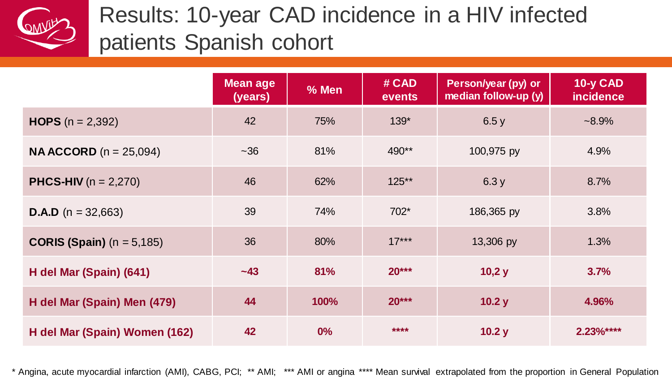

# Results: 10-year CAD incidence in a HIV infected patients Spanish cohort

|                                    | <b>Mean age</b><br>(years) | % Men | # CAD<br>events | Person/year (py) or<br>median follow-up (y) | 10-y CAD<br><i>incidence</i> |
|------------------------------------|----------------------------|-------|-----------------|---------------------------------------------|------------------------------|
| <b>HOPS</b> $(n = 2,392)$          | 42                         | 75%   | $139*$          | 6.5y                                        | $-8.9\%$                     |
| <b>NA ACCORD</b> $(n = 25,094)$    | ~1.36                      | 81%   | 490**           | 100,975 py                                  | 4.9%                         |
| <b>PHCS-HIV</b> ( $n = 2,270$ )    | 46                         | 62%   | $125**$         | 6.3y                                        | 8.7%                         |
| <b>D.A.D</b> ( $n = 32,663$ )      | 39                         | 74%   | 702*            | 186,365 py                                  | 3.8%                         |
| <b>CORIS (Spain)</b> $(n = 5,185)$ | 36                         | 80%   | $17***$         | 13,306 py                                   | 1.3%                         |
| H del Mar (Spain) (641)            | $-43$                      | 81%   | $20***$         | 10,2 y                                      | 3.7%                         |
| H del Mar (Spain) Men (479)        | 44                         | 100%  | $20***$         | 10.2 y                                      | 4.96%                        |
| H del Mar (Spain) Women (162)      | 42                         | 0%    | ****            | 10.2 y                                      | $2.23%***$                   |

\* Angina, acute myocardial infarction (AMI), CABG, PCI; \*\* AMI; \*\*\* AMI or angina \*\*\*\* Mean survival extrapolated from the proportion in General Population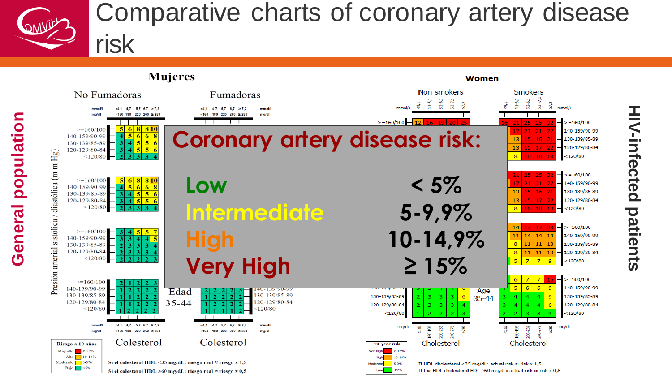

**HIV -infected**

**patients**



Si el colesterol HDL  $\geq 60$  mg/dL: riesgo real  $\approx$  riesgo x 0,5

 $Low \t < 5%$ 

If the HDL cholesterol HDL  $\geq$ 60 mg/dL: actual risk  $\approx$  risk x 0,5